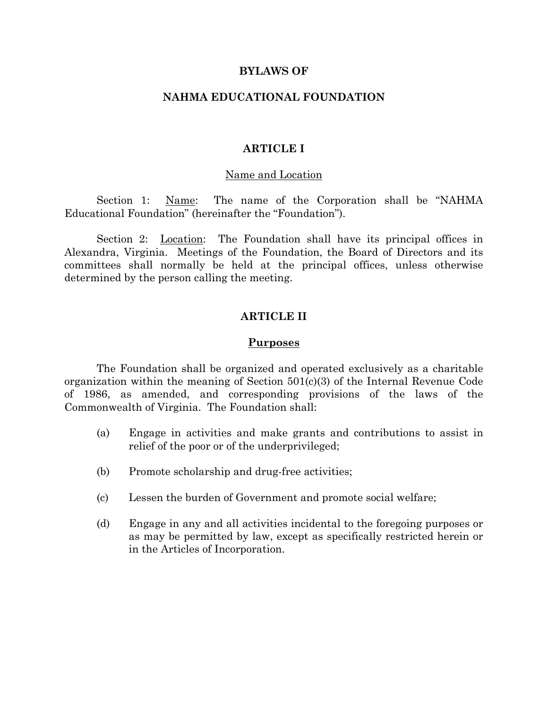### **BYLAWS OF**

# **NAHMA EDUCATIONAL FOUNDATION**

# **ARTICLE I**

#### Name and Location

Section 1: Name: The name of the Corporation shall be "NAHMA Educational Foundation" (hereinafter the "Foundation").

Section 2: Location: The Foundation shall have its principal offices in Alexandra, Virginia. Meetings of the Foundation, the Board of Directors and its committees shall normally be held at the principal offices, unless otherwise determined by the person calling the meeting.

# **ARTICLE II**

#### **Purposes**

The Foundation shall be organized and operated exclusively as a charitable organization within the meaning of Section 501(c)(3) of the Internal Revenue Code of 1986, as amended, and corresponding provisions of the laws of the Commonwealth of Virginia. The Foundation shall:

- (a) Engage in activities and make grants and contributions to assist in relief of the poor or of the underprivileged;
- (b) Promote scholarship and drug-free activities;
- (c) Lessen the burden of Government and promote social welfare;
- (d) Engage in any and all activities incidental to the foregoing purposes or as may be permitted by law, except as specifically restricted herein or in the Articles of Incorporation.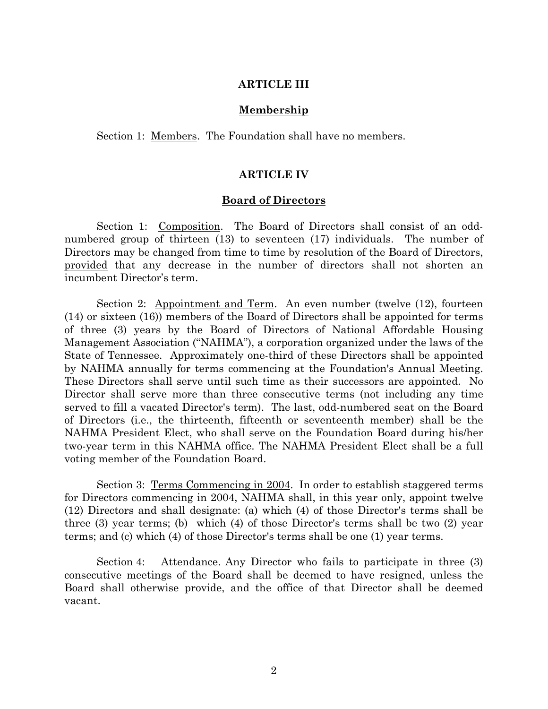# **ARTICLE III**

#### **Membership**

Section 1: Members. The Foundation shall have no members.

### **ARTICLE IV**

#### **Board of Directors**

Section 1: Composition. The Board of Directors shall consist of an oddnumbered group of thirteen (13) to seventeen (17) individuals. The number of Directors may be changed from time to time by resolution of the Board of Directors, provided that any decrease in the number of directors shall not shorten an incumbent Director's term.

Section 2: Appointment and Term. An even number (twelve (12), fourteen (14) or sixteen (16)) members of the Board of Directors shall be appointed for terms of three (3) years by the Board of Directors of National Affordable Housing Management Association ("NAHMA"), a corporation organized under the laws of the State of Tennessee. Approximately one-third of these Directors shall be appointed by NAHMA annually for terms commencing at the Foundation's Annual Meeting. These Directors shall serve until such time as their successors are appointed. No Director shall serve more than three consecutive terms (not including any time served to fill a vacated Director's term). The last, odd-numbered seat on the Board of Directors (i.e., the thirteenth, fifteenth or seventeenth member) shall be the NAHMA President Elect, who shall serve on the Foundation Board during his/her two-year term in this NAHMA office. The NAHMA President Elect shall be a full voting member of the Foundation Board.

Section 3: Terms Commencing in 2004. In order to establish staggered terms for Directors commencing in 2004, NAHMA shall, in this year only, appoint twelve (12) Directors and shall designate: (a) which (4) of those Director's terms shall be three (3) year terms; (b) which (4) of those Director's terms shall be two (2) year terms; and (c) which (4) of those Director's terms shall be one (1) year terms.

Section 4: Attendance. Any Director who fails to participate in three (3) consecutive meetings of the Board shall be deemed to have resigned, unless the Board shall otherwise provide, and the office of that Director shall be deemed vacant.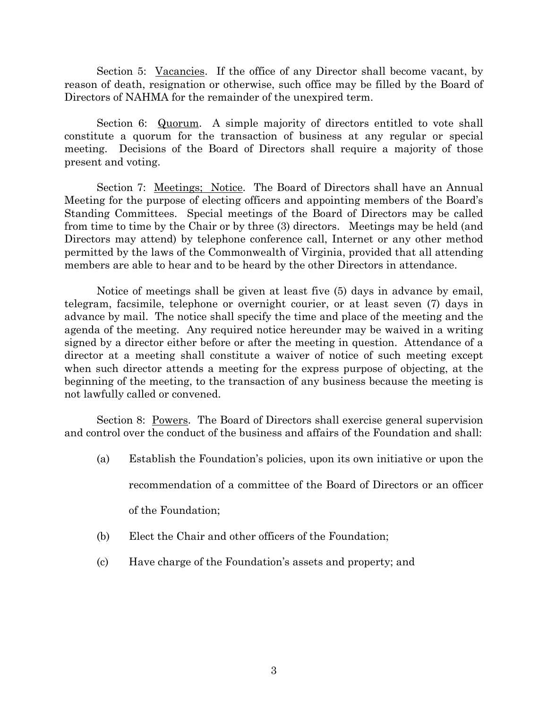Section 5: Vacancies. If the office of any Director shall become vacant, by reason of death, resignation or otherwise, such office may be filled by the Board of Directors of NAHMA for the remainder of the unexpired term.

Section 6: Quorum. A simple majority of directors entitled to vote shall constitute a quorum for the transaction of business at any regular or special meeting. Decisions of the Board of Directors shall require a majority of those present and voting.

Section 7: Meetings; Notice. The Board of Directors shall have an Annual Meeting for the purpose of electing officers and appointing members of the Board's Standing Committees. Special meetings of the Board of Directors may be called from time to time by the Chair or by three (3) directors. Meetings may be held (and Directors may attend) by telephone conference call, Internet or any other method permitted by the laws of the Commonwealth of Virginia, provided that all attending members are able to hear and to be heard by the other Directors in attendance.

Notice of meetings shall be given at least five (5) days in advance by email, telegram, facsimile, telephone or overnight courier, or at least seven (7) days in advance by mail. The notice shall specify the time and place of the meeting and the agenda of the meeting. Any required notice hereunder may be waived in a writing signed by a director either before or after the meeting in question. Attendance of a director at a meeting shall constitute a waiver of notice of such meeting except when such director attends a meeting for the express purpose of objecting, at the beginning of the meeting, to the transaction of any business because the meeting is not lawfully called or convened.

Section 8: Powers. The Board of Directors shall exercise general supervision and control over the conduct of the business and affairs of the Foundation and shall:

(a) Establish the Foundation's policies, upon its own initiative or upon the

recommendation of a committee of the Board of Directors or an officer

of the Foundation;

- (b) Elect the Chair and other officers of the Foundation;
- (c) Have charge of the Foundation's assets and property; and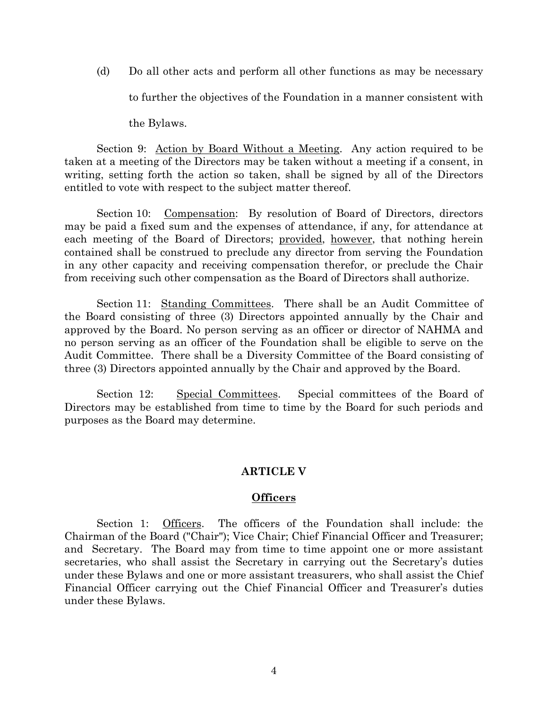(d) Do all other acts and perform all other functions as may be necessary to further the objectives of the Foundation in a manner consistent with

the Bylaws.

Section 9: <u>Action by Board Without a Meeting</u>. Any action required to be taken at a meeting of the Directors may be taken without a meeting if a consent, in writing, setting forth the action so taken, shall be signed by all of the Directors entitled to vote with respect to the subject matter thereof.

Section 10: Compensation: By resolution of Board of Directors, directors may be paid a fixed sum and the expenses of attendance, if any, for attendance at each meeting of the Board of Directors; provided, however, that nothing herein contained shall be construed to preclude any director from serving the Foundation in any other capacity and receiving compensation therefor, or preclude the Chair from receiving such other compensation as the Board of Directors shall authorize.

Section 11: Standing Committees. There shall be an Audit Committee of the Board consisting of three (3) Directors appointed annually by the Chair and approved by the Board. No person serving as an officer or director of NAHMA and no person serving as an officer of the Foundation shall be eligible to serve on the Audit Committee. There shall be a Diversity Committee of the Board consisting of three (3) Directors appointed annually by the Chair and approved by the Board.

Section 12: Special Committees. Special committees of the Board of Directors may be established from time to time by the Board for such periods and purposes as the Board may determine.

# **ARTICLE V**

# **Officers**

Section 1: Officers. The officers of the Foundation shall include: the Chairman of the Board ("Chair"); Vice Chair; Chief Financial Officer and Treasurer; and Secretary. The Board may from time to time appoint one or more assistant secretaries, who shall assist the Secretary in carrying out the Secretary's duties under these Bylaws and one or more assistant treasurers, who shall assist the Chief Financial Officer carrying out the Chief Financial Officer and Treasurer's duties under these Bylaws.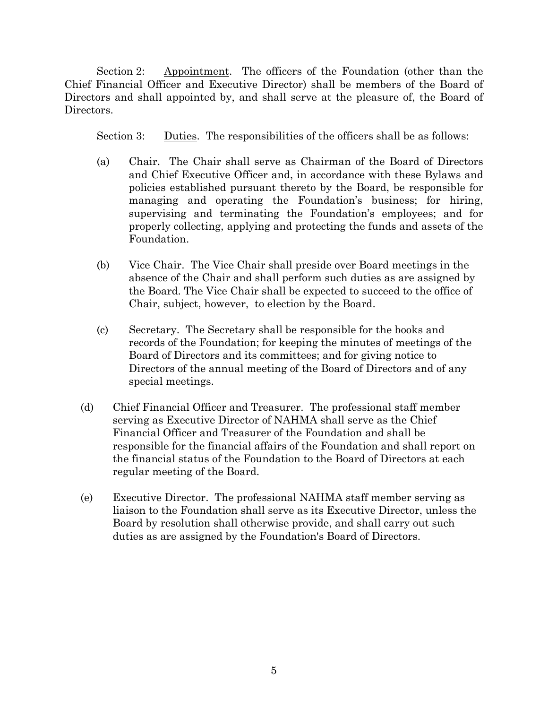Section 2: Appointment. The officers of the Foundation (other than the Chief Financial Officer and Executive Director) shall be members of the Board of Directors and shall appointed by, and shall serve at the pleasure of, the Board of Directors.

Section 3: Duties. The responsibilities of the officers shall be as follows:

- (a) Chair. The Chair shall serve as Chairman of the Board of Directors and Chief Executive Officer and, in accordance with these Bylaws and policies established pursuant thereto by the Board, be responsible for managing and operating the Foundation's business; for hiring, supervising and terminating the Foundation's employees; and for properly collecting, applying and protecting the funds and assets of the Foundation.
- (b) Vice Chair. The Vice Chair shall preside over Board meetings in the absence of the Chair and shall perform such duties as are assigned by the Board. The Vice Chair shall be expected to succeed to the office of Chair, subject, however, to election by the Board.
- (c) Secretary. The Secretary shall be responsible for the books and records of the Foundation; for keeping the minutes of meetings of the Board of Directors and its committees; and for giving notice to Directors of the annual meeting of the Board of Directors and of any special meetings.
- (d) Chief Financial Officer and Treasurer. The professional staff member serving as Executive Director of NAHMA shall serve as the Chief Financial Officer and Treasurer of the Foundation and shall be responsible for the financial affairs of the Foundation and shall report on the financial status of the Foundation to the Board of Directors at each regular meeting of the Board.
- (e) Executive Director. The professional NAHMA staff member serving as liaison to the Foundation shall serve as its Executive Director, unless the Board by resolution shall otherwise provide, and shall carry out such duties as are assigned by the Foundation's Board of Directors.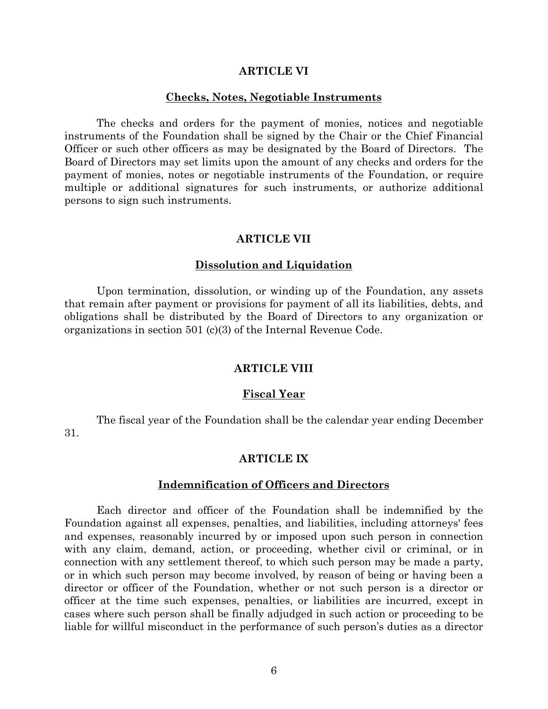#### **ARTICLE VI**

#### **Checks, Notes, Negotiable Instruments**

The checks and orders for the payment of monies, notices and negotiable instruments of the Foundation shall be signed by the Chair or the Chief Financial Officer or such other officers as may be designated by the Board of Directors. The Board of Directors may set limits upon the amount of any checks and orders for the payment of monies, notes or negotiable instruments of the Foundation, or require multiple or additional signatures for such instruments, or authorize additional persons to sign such instruments.

#### **ARTICLE VII**

#### **Dissolution and Liquidation**

Upon termination, dissolution, or winding up of the Foundation, any assets that remain after payment or provisions for payment of all its liabilities, debts, and obligations shall be distributed by the Board of Directors to any organization or organizations in section 501 (c)(3) of the Internal Revenue Code.

#### **ARTICLE VIII**

#### **Fiscal Year**

The fiscal year of the Foundation shall be the calendar year ending December 31.

# **ARTICLE IX**

#### **Indemnification of Officers and Directors**

Each director and officer of the Foundation shall be indemnified by the Foundation against all expenses, penalties, and liabilities, including attorneys' fees and expenses, reasonably incurred by or imposed upon such person in connection with any claim, demand, action, or proceeding, whether civil or criminal, or in connection with any settlement thereof, to which such person may be made a party, or in which such person may become involved, by reason of being or having been a director or officer of the Foundation, whether or not such person is a director or officer at the time such expenses, penalties, or liabilities are incurred, except in cases where such person shall be finally adjudged in such action or proceeding to be liable for willful misconduct in the performance of such person's duties as a director